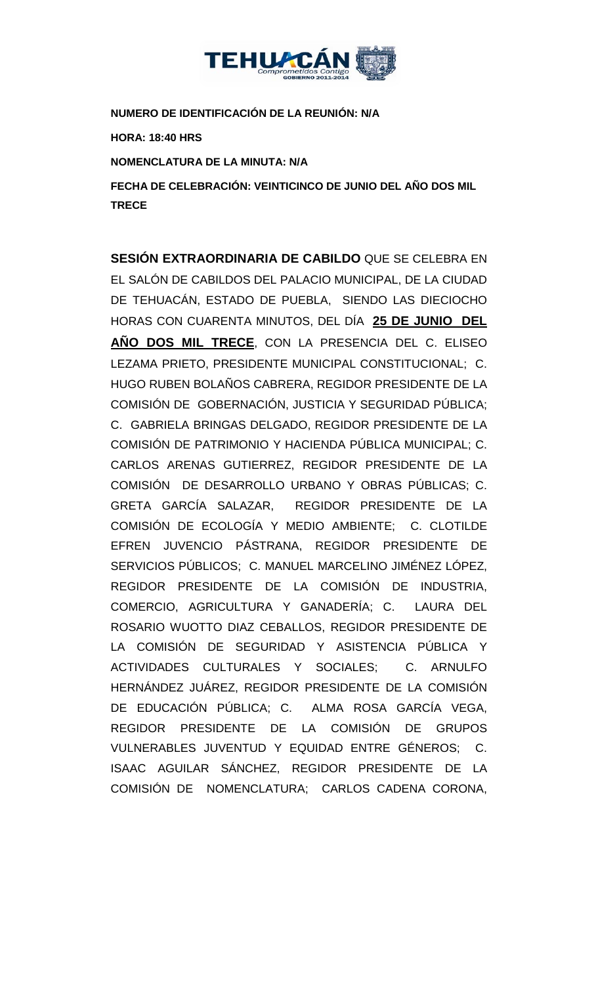

**NUMERO DE IDENTIFICACIÓN DE LA REUNIÓN: N/A**

**HORA: 18:40 HRS**

**NOMENCLATURA DE LA MINUTA: N/A**

**FECHA DE CELEBRACIÓN: VEINTICINCO DE JUNIO DEL AÑO DOS MIL TRECE** 

**SESIÓN EXTRAORDINARIA DE CABILDO** QUE SE CELEBRA EN EL SALÓN DE CABILDOS DEL PALACIO MUNICIPAL, DE LA CIUDAD DE TEHUACÁN, ESTADO DE PUEBLA, SIENDO LAS DIECIOCHO HORAS CON CUARENTA MINUTOS, DEL DÍA **25 DE JUNIO DEL AÑO DOS MIL TRECE**, CON LA PRESENCIA DEL C. ELISEO LEZAMA PRIETO, PRESIDENTE MUNICIPAL CONSTITUCIONAL; C. HUGO RUBEN BOLAÑOS CABRERA, REGIDOR PRESIDENTE DE LA COMISIÓN DE GOBERNACIÓN, JUSTICIA Y SEGURIDAD PÚBLICA; C. GABRIELA BRINGAS DELGADO, REGIDOR PRESIDENTE DE LA COMISIÓN DE PATRIMONIO Y HACIENDA PÚBLICA MUNICIPAL; C. CARLOS ARENAS GUTIERREZ, REGIDOR PRESIDENTE DE LA COMISIÓN DE DESARROLLO URBANO Y OBRAS PÚBLICAS; C. GRETA GARCÍA SALAZAR, REGIDOR PRESIDENTE DE LA COMISIÓN DE ECOLOGÍA Y MEDIO AMBIENTE; C. CLOTILDE EFREN JUVENCIO PÁSTRANA, REGIDOR PRESIDENTE DE SERVICIOS PÚBLICOS; C. MANUEL MARCELINO JIMÉNEZ LÓPEZ, REGIDOR PRESIDENTE DE LA COMISIÓN DE INDUSTRIA, COMERCIO, AGRICULTURA Y GANADERÍA; C. LAURA DEL ROSARIO WUOTTO DIAZ CEBALLOS, REGIDOR PRESIDENTE DE LA COMISIÓN DE SEGURIDAD Y ASISTENCIA PÚBLICA Y ACTIVIDADES CULTURALES Y SOCIALES; C. ARNULFO HERNÁNDEZ JUÁREZ, REGIDOR PRESIDENTE DE LA COMISIÓN DE EDUCACIÓN PÚBLICA; C. ALMA ROSA GARCÍA VEGA, REGIDOR PRESIDENTE DE LA COMISIÓN DE GRUPOS VULNERABLES JUVENTUD Y EQUIDAD ENTRE GÉNEROS; C. ISAAC AGUILAR SÁNCHEZ, REGIDOR PRESIDENTE DE LA COMISIÓN DE NOMENCLATURA; CARLOS CADENA CORONA,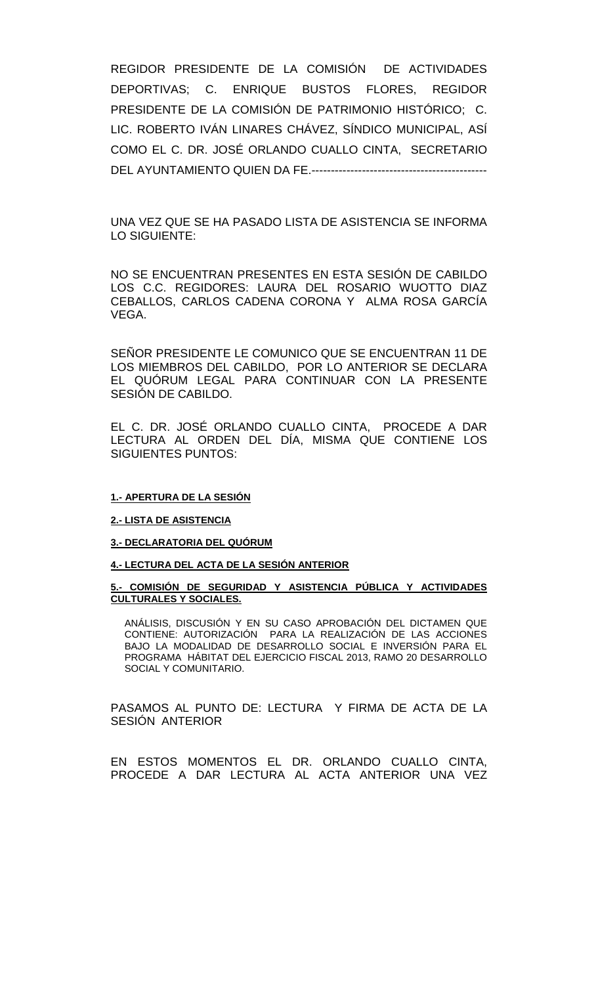REGIDOR PRESIDENTE DE LA COMISIÓN DE ACTIVIDADES DEPORTIVAS; C. ENRIQUE BUSTOS FLORES, REGIDOR PRESIDENTE DE LA COMISIÓN DE PATRIMONIO HISTÓRICO; C. LIC. ROBERTO IVÁN LINARES CHÁVEZ, SÍNDICO MUNICIPAL, ASÍ COMO EL C. DR. JOSÉ ORLANDO CUALLO CINTA, SECRETARIO DEL AYUNTAMIENTO QUIEN DA FE.---------------------------------------------

UNA VEZ QUE SE HA PASADO LISTA DE ASISTENCIA SE INFORMA LO SIGUIENTE:

NO SE ENCUENTRAN PRESENTES EN ESTA SESIÓN DE CABILDO LOS C.C. REGIDORES: LAURA DEL ROSARIO WUOTTO DIAZ CEBALLOS, CARLOS CADENA CORONA Y ALMA ROSA GARCÍA VEGA.

SEÑOR PRESIDENTE LE COMUNICO QUE SE ENCUENTRAN 11 DE LOS MIEMBROS DEL CABILDO, POR LO ANTERIOR SE DECLARA EL QUÓRUM LEGAL PARA CONTINUAR CON LA PRESENTE SESIÓN DE CABILDO.

EL C. DR. JOSÉ ORLANDO CUALLO CINTA, PROCEDE A DAR LECTURA AL ORDEN DEL DÍA, MISMA QUE CONTIENE LOS SIGUIENTES PUNTOS:

#### **1.- APERTURA DE LA SESIÓN**

#### **2.- LISTA DE ASISTENCIA**

### **3.- DECLARATORIA DEL QUÓRUM**

### **4.- LECTURA DEL ACTA DE LA SESIÓN ANTERIOR**

### **5.- COMISIÓN DE SEGURIDAD Y ASISTENCIA PÚBLICA Y ACTIVIDADES CULTURALES Y SOCIALES.**

ANÁLISIS, DISCUSIÓN Y EN SU CASO APROBACIÓN DEL DICTAMEN QUE CONTIENE: AUTORIZACIÓN PARA LA REALIZACIÓN DE LAS ACCIONES BAJO LA MODALIDAD DE DESARROLLO SOCIAL E INVERSIÓN PARA EL PROGRAMA HÁBITAT DEL EJERCICIO FISCAL 2013, RAMO 20 DESARROLLO SOCIAL Y COMUNITARIO.

PASAMOS AL PUNTO DE: LECTURA Y FIRMA DE ACTA DE LA SESION ANTERIOR

EN ESTOS MOMENTOS EL DR. ORLANDO CUALLO CINTA, PROCEDE A DAR LECTURA AL ACTA ANTERIOR UNA VEZ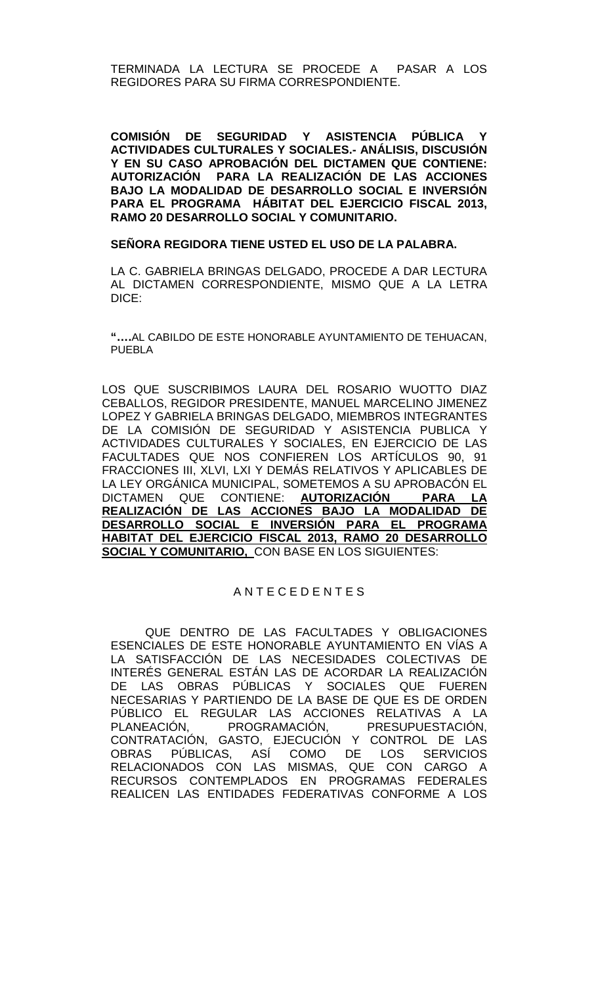TERMINADA LA LECTURA SE PROCEDE A PASAR A LOS REGIDORES PARA SU FIRMA CORRESPONDIENTE.

**COMISIÓN DE SEGURIDAD Y ASISTENCIA PÚBLICA Y ACTIVIDADES CULTURALES Y SOCIALES.- ANÁLISIS, DISCUSIÓN Y EN SU CASO APROBACIÓN DEL DICTAMEN QUE CONTIENE: AUTORIZACIÓN PARA LA REALIZACIÓN DE LAS ACCIONES BAJO LA MODALIDAD DE DESARROLLO SOCIAL E INVERSIÓN PARA EL PROGRAMA HÁBITAT DEL EJERCICIO FISCAL 2013, RAMO 20 DESARROLLO SOCIAL Y COMUNITARIO.**

### **SEÑORA REGIDORA TIENE USTED EL USO DE LA PALABRA.**

LA C. GABRIELA BRINGAS DELGADO, PROCEDE A DAR LECTURA AL DICTAMEN CORRESPONDIENTE, MISMO QUE A LA LETRA DICE:

**"….**AL CABILDO DE ESTE HONORABLE AYUNTAMIENTO DE TEHUACAN, PUEBLA

LOS QUE SUSCRIBIMOS LAURA DEL ROSARIO WUOTTO DIAZ CEBALLOS, REGIDOR PRESIDENTE, MANUEL MARCELINO JIMENEZ LOPEZ Y GABRIELA BRINGAS DELGADO, MIEMBROS INTEGRANTES DE LA COMISIÓN DE SEGURIDAD Y ASISTENCIA PUBLICA Y ACTIVIDADES CULTURALES Y SOCIALES, EN EJERCICIO DE LAS FACULTADES QUE NOS CONFIEREN LOS ARTÍCULOS 90, 91 FRACCIONES III, XLVI, LXI Y DEMÁS RELATIVOS Y APLICABLES DE LA LEY ORGÁNICA MUNICIPAL, SOMETEMOS A SU APROBACÓN EL<br>DICTAMEN QUE CONTIENE: **AUTORIZACIÓN PARA LA** DICTAMEN QUE CONTIENE: **AUTORIZACIÓN REALIZACIÓN DE LAS ACCIONES BAJO LA MODALIDAD DE DESARROLLO SOCIAL E INVERSIÓN PARA EL PROGRAMA HABITAT DEL EJERCICIO FISCAL 2013, RAMO 20 DESARROLLO SOCIAL Y COMUNITARIO,** CON BASE EN LOS SIGUIENTES:

## A N T E C E D E N T E S

QUE DENTRO DE LAS FACULTADES Y OBLIGACIONES ESENCIALES DE ESTE HONORABLE AYUNTAMIENTO EN VÍAS A LA SATISFACCIÓN DE LAS NECESIDADES COLECTIVAS DE INTERÉS GENERAL ESTÁN LAS DE ACORDAR LA REALIZACIÓN DE LAS OBRAS PÚBLICAS Y SOCIALES QUE FUEREN NECESARIAS Y PARTIENDO DE LA BASE DE QUE ES DE ORDEN PÚBLICO EL REGULAR LAS ACCIONES RELATIVAS A LA<br>PLANEACIÓN, PROGRAMACIÓN, PRESUPUESTACIÓN, PRESUPUESTACIÓN, CONTRATACIÓN, GASTO, EJECUCIÓN Y CONTROL DE LAS<br>OBRAS PÚBLICAS, ASÍ COMO DE LOS SERVICIOS OBRAS PÚBLICAS, ASÍ COMO DE LOS SERVICIOS RELACIONADOS CON LAS MISMAS, QUE CON CARGO A RECURSOS CONTEMPLADOS EN PROGRAMAS FEDERALES REALICEN LAS ENTIDADES FEDERATIVAS CONFORME A LOS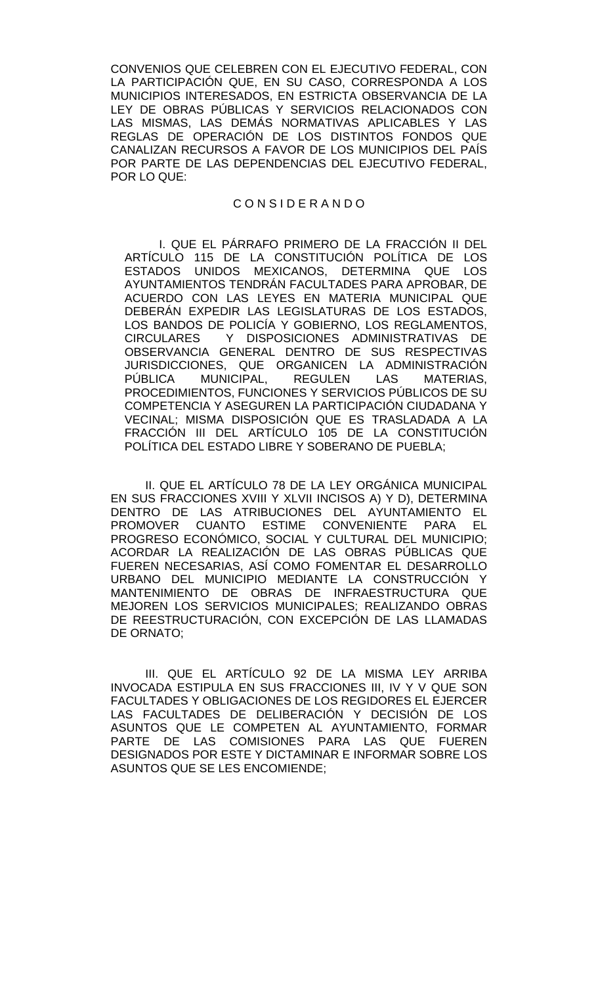CONVENIOS QUE CELEBREN CON EL EJECUTIVO FEDERAL, CON LA PARTICIPACIÓN QUE, EN SU CASO, CORRESPONDA A LOS MUNICIPIOS INTERESADOS, EN ESTRICTA OBSERVANCIA DE LA LEY DE OBRAS PÚBLICAS Y SERVICIOS RELACIONADOS CON LAS MISMAS, LAS DEMÁS NORMATIVAS APLICABLES Y LAS REGLAS DE OPERACIÓN DE LOS DISTINTOS FONDOS QUE CANALIZAN RECURSOS A FAVOR DE LOS MUNICIPIOS DEL PAÍS POR PARTE DE LAS DEPENDENCIAS DEL EJECUTIVO FEDERAL, POR LO QUE:

## C O N S I D E R A N D O

I. QUE EL PÁRRAFO PRIMERO DE LA FRACCIÓN II DEL ARTÍCULO 115 DE LA CONSTITUCIÓN POLÍTICA DE LOS ESTADOS UNIDOS MEXICANOS, DETERMINA QUE LOS AYUNTAMIENTOS TENDRÁN FACULTADES PARA APROBAR, DE ACUERDO CON LAS LEYES EN MATERIA MUNICIPAL QUE DEBERÁN EXPEDIR LAS LEGISLATURAS DE LOS ESTADOS, LOS BANDOS DE POLICÍA Y GOBIERNO, LOS REGLAMENTOS, CIRCULARES Y DISPOSICIONES ADMINISTRATIVAS DE OBSERVANCIA GENERAL DENTRO DE SUS RESPECTIVAS JURISDICCIONES, QUE ORGANICEN LA ADMINISTRACIÓN PÚBLICA MUNICIPAL, REGULEN LAS MATERIAS, PROCEDIMIENTOS, FUNCIONES Y SERVICIOS PÚBLICOS DE SU COMPETENCIA Y ASEGUREN LA PARTICIPACIÓN CIUDADANA Y VECINAL; MISMA DISPOSICIÓN QUE ES TRASLADADA A LA FRACCIÓN III DEL ARTÍCULO 105 DE LA CONSTITUCIÓN POLÍTICA DEL ESTADO LIBRE Y SOBERANO DE PUEBLA;

II. QUE EL ARTÍCULO 78 DE LA LEY ORGÁNICA MUNICIPAL EN SUS FRACCIONES XVIII Y XLVII INCISOS A) Y D), DETERMINA DENTRO DE LAS ATRIBUCIONES DEL AYUNTAMIENTO EL PROMOVER CUANTO ESTIME CONVENIENTE PARA EL PROGRESO ECONÓMICO, SOCIAL Y CULTURAL DEL MUNICIPIO; ACORDAR LA REALIZACIÓN DE LAS OBRAS PÚBLICAS QUE FUEREN NECESARIAS, ASÍ COMO FOMENTAR EL DESARROLLO URBANO DEL MUNICIPIO MEDIANTE LA CONSTRUCCIÓN Y MANTENIMIENTO DE OBRAS DE INFRAESTRUCTURA QUE MEJOREN LOS SERVICIOS MUNICIPALES; REALIZANDO OBRAS DE REESTRUCTURACIÓN, CON EXCEPCIÓN DE LAS LLAMADAS DE ORNATO;

III. QUE EL ARTÍCULO 92 DE LA MISMA LEY ARRIBA INVOCADA ESTIPULA EN SUS FRACCIONES III, IV Y V QUE SON FACULTADES Y OBLIGACIONES DE LOS REGIDORES EL EJERCER LAS FACULTADES DE DELIBERACIÓN Y DECISIÓN DE LOS ASUNTOS QUE LE COMPETEN AL AYUNTAMIENTO, FORMAR PARTE DE LAS COMISIONES PARA LAS QUE FUEREN DESIGNADOS POR ESTE Y DICTAMINAR E INFORMAR SOBRE LOS ASUNTOS QUE SE LES ENCOMIENDE;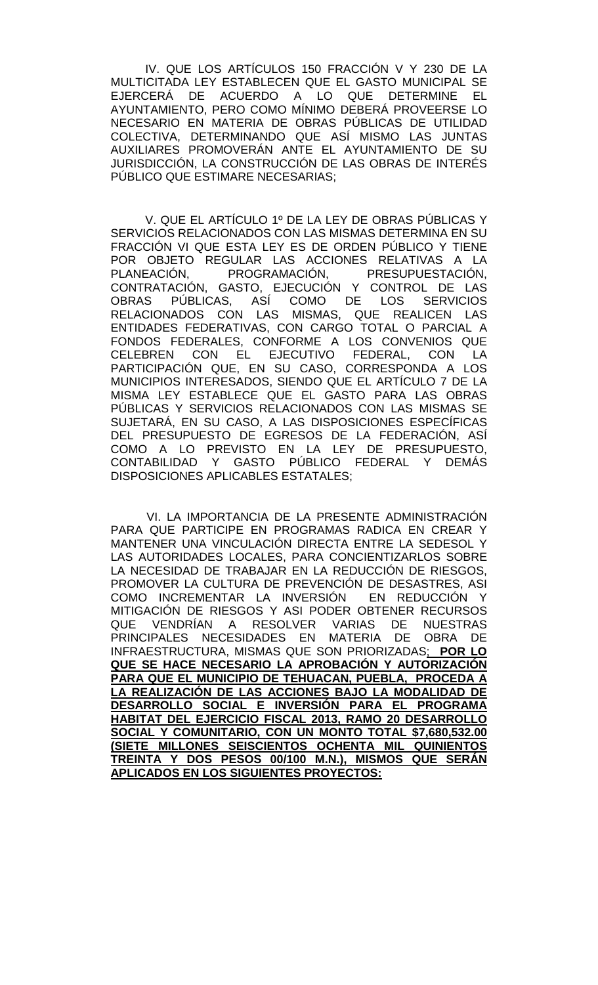IV. QUE LOS ARTÍCULOS 150 FRACCIÓN V Y 230 DE LA MULTICITADA LEY ESTABLECEN QUE EL GASTO MUNICIPAL SE<br>EJERCERÁ DE ACUERDO A LO QUE DETERMINE EL ACUERDO A LO QUE AYUNTAMIENTO, PERO COMO MÍNIMO DEBERÁ PROVEERSE LO NECESARIO EN MATERIA DE OBRAS PÚBLICAS DE UTILIDAD COLECTIVA, DETERMINANDO QUE ASÍ MISMO LAS JUNTAS AUXILIARES PROMOVERÁN ANTE EL AYUNTAMIENTO DE SU JURISDICCIÓN, LA CONSTRUCCIÓN DE LAS OBRAS DE INTERÉS PÚBLICO QUE ESTIMARE NECESARIAS;

V. QUE EL ARTÍCULO 1º DE LA LEY DE OBRAS PÚBLICAS Y SERVICIOS RELACIONADOS CON LAS MISMAS DETERMINA EN SU FRACCIÓN VI QUE ESTA LEY ES DE ORDEN PÚBLICO Y TIENE POR OBJETO REGULAR LAS ACCIONES RELATIVAS A LA<br>PLANEACIÓN, PROGRAMACIÓN, PRESUPUESTACIÓN, PROGRAMACIÓN, PRESUPUESTACIÓN, CONTRATACIÓN, GASTO, EJECUCIÓN Y CONTROL DE LAS OBRAS PÚBLICAS, ASÍ COMO DE LOS SERVICIOS RELACIONADOS CON LAS MISMAS, QUE REALICEN LAS ENTIDADES FEDERATIVAS, CON CARGO TOTAL O PARCIAL A FONDOS FEDERALES, CONFORME A LOS CONVENIOS QUE CELEBREN CON EL EJECUTIVO FEDERAL, CON LA PARTICIPACIÓN QUE, EN SU CASO, CORRESPONDA A LOS MUNICIPIOS INTERESADOS, SIENDO QUE EL ARTÍCULO 7 DE LA MISMA LEY ESTABLECE QUE EL GASTO PARA LAS OBRAS PÚBLICAS Y SERVICIOS RELACIONADOS CON LAS MISMAS SE SUJETARÁ, EN SU CASO, A LAS DISPOSICIONES ESPECÍFICAS DEL PRESUPUESTO DE EGRESOS DE LA FEDERACIÓN, ASÍ COMO A LO PREVISTO EN LA LEY DE PRESUPUESTO, CONTABILIDAD Y GASTO PÚBLICO FEDERAL Y DEMÁS DISPOSICIONES APLICABLES ESTATALES;

 VI. LA IMPORTANCIA DE LA PRESENTE ADMINISTRACIÓN PARA QUE PARTICIPE EN PROGRAMAS RADICA EN CREAR Y MANTENER UNA VINCULACIÓN DIRECTA ENTRE LA SEDESOL Y LAS AUTORIDADES LOCALES, PARA CONCIENTIZARLOS SOBRE LA NECESIDAD DE TRABAJAR EN LA REDUCCIÓN DE RIESGOS, PROMOVER LA CULTURA DE PREVENCIÓN DE DESASTRES, ASI COMO INCREMENTAR LA INVERSION EN REDUCCIÓN Y MITIGACIÓN DE RIESGOS Y ASI PODER OBTENER RECURSOS QUE VENDRÍAN A RESOLVER VARIAS DE NUESTRAS PRINCIPALES NECESIDADES EN MATERIA DE OBRA DE INFRAESTRUCTURA, MISMAS QUE SON PRIORIZADAS; **POR LO QUE SE HACE NECESARIO LA APROBACIÓN Y AUTORIZACIÓN PARA QUE EL MUNICIPIO DE TEHUACAN, PUEBLA, PROCEDA A LA REALIZACIÓN DE LAS ACCIONES BAJO LA MODALIDAD DE DESARROLLO SOCIAL E INVERSIÓN PARA EL PROGRAMA HABITAT DEL EJERCICIO FISCAL 2013, RAMO 20 DESARROLLO SOCIAL Y COMUNITARIO, CON UN MONTO TOTAL \$7,680,532.00 (SIETE MILLONES SEISCIENTOS OCHENTA MIL QUINIENTOS TREINTA Y DOS PESOS 00/100 M.N.), MISMOS QUE SERÁN APLICADOS EN LOS SIGUIENTES PROYECTOS:**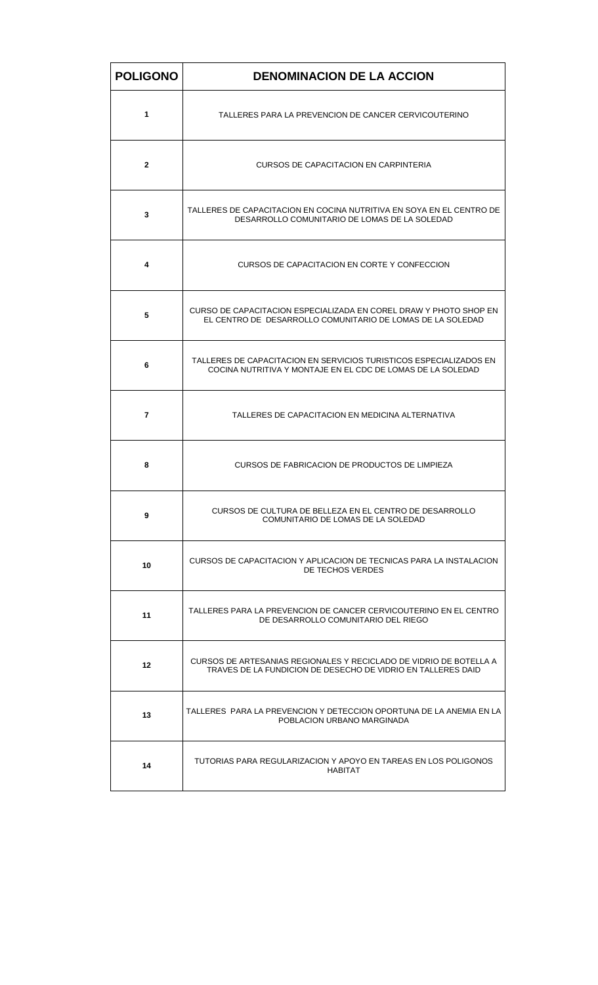| <b>POLIGONO</b> | <b>DENOMINACION DE LA ACCION</b>                                                                                                   |
|-----------------|------------------------------------------------------------------------------------------------------------------------------------|
| 1               | TALLERES PARA LA PREVENCION DE CANCER CERVICOUTERINO                                                                               |
| $\mathbf{2}$    | CURSOS DE CAPACITACION EN CARPINTERIA                                                                                              |
| 3               | TALLERES DE CAPACITACION EN COCINA NUTRITIVA EN SOYA EN EL CENTRO DE<br>DESARROLLO COMUNITARIO DE LOMAS DE LA SOLEDAD              |
| 4               | CURSOS DE CAPACITACION EN CORTE Y CONFECCION                                                                                       |
| 5               | CURSO DE CAPACITACION ESPECIALIZADA EN COREL DRAW Y PHOTO SHOP EN<br>EL CENTRO DE DESARROLLO COMUNITARIO DE LOMAS DE LA SOLEDAD    |
| 6               | TALLERES DE CAPACITACION EN SERVICIOS TURISTICOS ESPECIALIZADOS EN<br>COCINA NUTRITIVA Y MONTAJE EN EL CDC DE LOMAS DE LA SOLEDAD  |
| 7               | TALLERES DE CAPACITACION EN MEDICINA ALTERNATIVA                                                                                   |
| 8               | CURSOS DE FABRICACION DE PRODUCTOS DE LIMPIEZA                                                                                     |
| 9               | CURSOS DE CULTURA DE BELLEZA EN EL CENTRO DE DESARROLLO<br>COMUNITARIO DE LOMAS DE LA SOLEDAD                                      |
| 10              | CURSOS DE CAPACITACION Y APLICACION DE TECNICAS PARA LA INSTALACION<br>DE TECHOS VERDES                                            |
| 11              | TALLERES PARA LA PREVENCION DE CANCER CERVICOUTERINO EN EL CENTRO<br>DE DESARROLLO COMUNITARIO DEL RIEGO                           |
| 12              | CURSOS DE ARTESANIAS REGIONALES Y RECICLADO DE VIDRIO DE BOTELLA A<br>TRAVES DE LA FUNDICION DE DESECHO DE VIDRIO EN TALLERES DAID |
| 13              | TALLERES PARA LA PREVENCION Y DETECCION OPORTUNA DE LA ANEMIA EN LA<br>POBLACION URBANO MARGINADA                                  |
| 14              | TUTORIAS PARA REGULARIZACION Y APOYO EN TAREAS EN LOS POLIGONOS<br>HABITAT                                                         |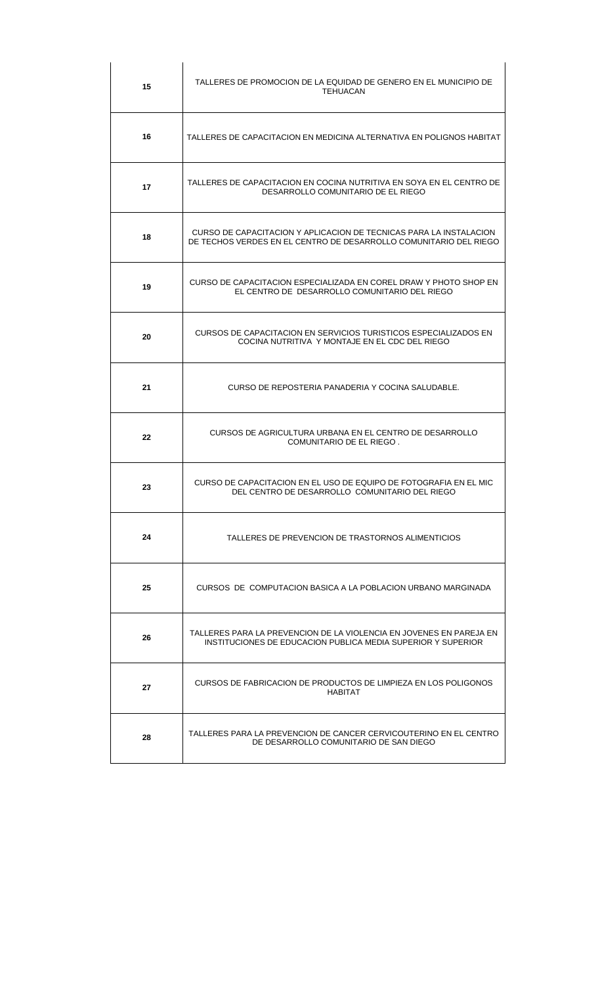| 15      | TALLERES DE PROMOCION DE LA EQUIDAD DE GENERO EN EL MUNICIPIO DE<br>TEHUACAN                                                            |
|---------|-----------------------------------------------------------------------------------------------------------------------------------------|
| 16      | TALLERES DE CAPACITACION EN MEDICINA ALTERNATIVA EN POLIGNOS HABITAT                                                                    |
| 17      | TALLERES DE CAPACITACION EN COCINA NUTRITIVA EN SOYA EN EL CENTRO DE<br>DESARROLLO COMUNITARIO DE EL RIEGO                              |
| 18      | CURSO DE CAPACITACION Y APLICACION DE TECNICAS PARA LA INSTALACION<br>DE TECHOS VERDES EN EL CENTRO DE DESARROLLO COMUNITARIO DEL RIEGO |
| 19      | CURSO DE CAPACITACION ESPECIALIZADA EN COREL DRAW Y PHOTO SHOP EN<br>EL CENTRO DE DESARROLLO COMUNITARIO DEL RIEGO                      |
| 20      | CURSOS DE CAPACITACION EN SERVICIOS TURISTICOS ESPECIALIZADOS EN<br>COCINA NUTRITIVA Y MONTAJE EN EL CDC DEL RIEGO                      |
| 21      | CURSO DE REPOSTERIA PANADERIA Y COCINA SALUDABLE.                                                                                       |
| $22 \,$ | CURSOS DE AGRICULTURA URBANA EN EL CENTRO DE DESARROLLO<br>COMUNITARIO DE EL RIEGO.                                                     |
| 23      | CURSO DE CAPACITACION EN EL USO DE EQUIPO DE FOTOGRAFIA EN EL MIC<br>DEL CENTRO DE DESARROLLO COMUNITARIO DEL RIEGO                     |
| 24      | TALLERES DE PREVENCION DE TRASTORNOS ALIMENTICIOS                                                                                       |
| 25      | CURSOS DE COMPUTACION BASICA A LA POBLACION URBANO MARGINADA                                                                            |
| 26      | TALLERES PARA LA PREVENCION DE LA VIOLENCIA EN JOVENES EN PAREJA EN<br>INSTITUCIONES DE EDUCACION PUBLICA MEDIA SUPERIOR Y SUPERIOR     |
| 27      | CURSOS DE FABRICACION DE PRODUCTOS DE LIMPIEZA EN LOS POLIGONOS<br>HABITAT                                                              |
| 28      | TALLERES PARA LA PREVENCION DE CANCER CERVICOUTERINO EN EL CENTRO<br>DE DESARROLLO COMUNITARIO DE SAN DIEGO                             |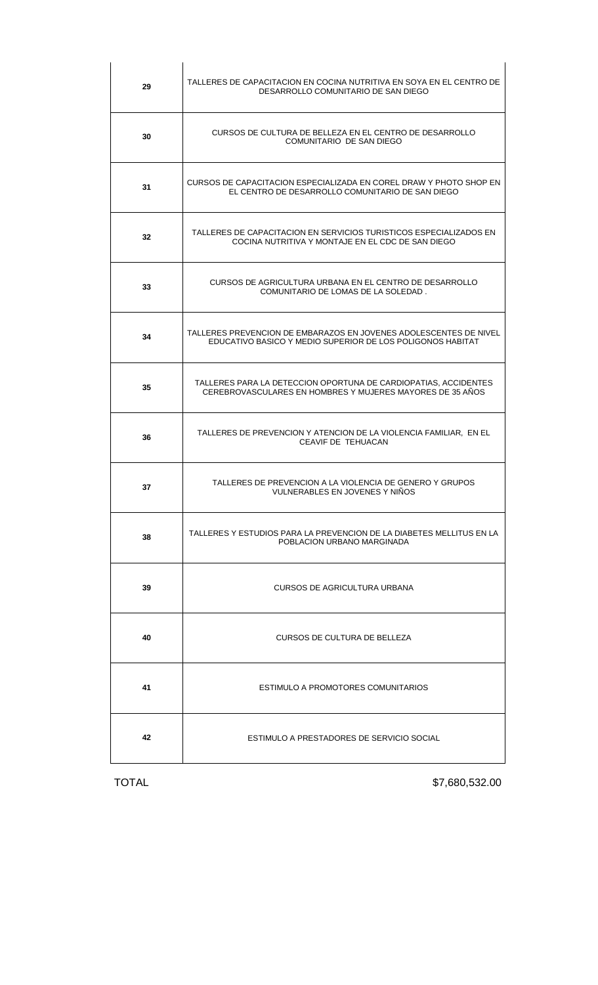| 29 | TALLERES DE CAPACITACION EN COCINA NUTRITIVA EN SOYA EN EL CENTRO DE<br>DESARROLLO COMUNITARIO DE SAN DIEGO                     |
|----|---------------------------------------------------------------------------------------------------------------------------------|
| 30 | CURSOS DE CULTURA DE BELLEZA EN EL CENTRO DE DESARROLLO<br>COMUNITARIO DE SAN DIEGO                                             |
| 31 | CURSOS DE CAPACITACION ESPECIALIZADA EN COREL DRAW Y PHOTO SHOP EN<br>EL CENTRO DE DESARROLLO COMUNITARIO DE SAN DIEGO          |
| 32 | TALLERES DE CAPACITACION EN SERVICIOS TURISTICOS ESPECIALIZADOS EN<br>COCINA NUTRITIVA Y MONTAJE EN EL CDC DE SAN DIEGO         |
| 33 | CURSOS DE AGRICULTURA URBANA EN EL CENTRO DE DESARROLLO<br>COMUNITARIO DE LOMAS DE LA SOLEDAD.                                  |
| 34 | TALLERES PREVENCION DE EMBARAZOS EN JOVENES ADOLESCENTES DE NIVEL<br>EDUCATIVO BASICO Y MEDIO SUPERIOR DE LOS POLIGONOS HABITAT |
| 35 | TALLERES PARA LA DETECCION OPORTUNA DE CARDIOPATIAS, ACCIDENTES<br>CEREBROVASCULARES EN HOMBRES Y MUJERES MAYORES DE 35 AÑOS    |
| 36 | TALLERES DE PREVENCION Y ATENCION DE LA VIOLENCIA FAMILIAR, EN EL<br>CEAVIF DE TEHUACAN                                         |
| 37 | TALLERES DE PREVENCION A LA VIOLENCIA DE GENERO Y GRUPOS<br>VULNERABLES EN JOVENES Y NIÑOS                                      |
| 38 | TALLERES Y ESTUDIOS PARA LA PREVENCION DE LA DIABETES MELLITUS EN LA<br>POBLACION URBANO MARGINADA                              |
| 39 | CURSOS DE AGRICULTURA URBANA                                                                                                    |
| 40 | <b>CURSOS DE CULTURA DE BELLEZA</b>                                                                                             |
| 41 | ESTIMULO A PROMOTORES COMUNITARIOS                                                                                              |
| 42 | ESTIMULO A PRESTADORES DE SERVICIO SOCIAL                                                                                       |

TOTAL \$7,680,532.00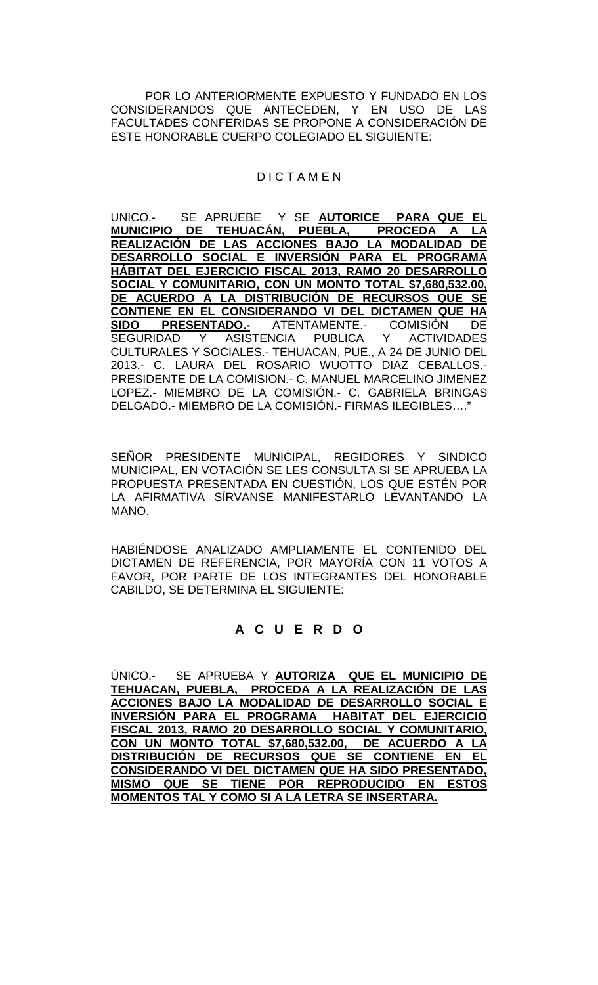POR LO ANTERIORMENTE EXPUESTO Y FUNDADO EN LOS CONSIDERANDOS QUE ANTECEDEN, Y EN USO DE LAS FACULTADES CONFERIDAS SE PROPONE A CONSIDERACIÓN DE ESTE HONORABLE CUERPO COLEGIADO EL SIGUIENTE:

# D I C T A M E N

UNICO.- SE APRUEBE Y SE **AUTORICE PARA QUE EL MUNICIPIO DE TEHUACÁN, PUEBLA, PROCEDA A LA REALIZACIÓN DE LAS ACCIONES BAJO LA MODALIDAD DE DESARROLLO SOCIAL E INVERSIÓN PARA EL PROGRAMA HÁBITAT DEL EJERCICIO FISCAL 2013, RAMO 20 DESARROLLO SOCIAL Y COMUNITARIO, CON UN MONTO TOTAL \$7,680,532.00, DE ACUERDO A LA DISTRIBUCIÓN DE RECURSOS QUE SE CONTIENE EN EL CONSIDERANDO VI DEL DICTAMEN QUE HA <u>ADO.-</u> ATENTAMENTE.- COMISIÓN DE<br>ASISTENCIA PUBLICA Y ACTIVIDADES** SEGURIDAD Y ASISTENCIA PUBLICA Y ACTIVIDADES CULTURALES Y SOCIALES.- TEHUACAN, PUE., A 24 DE JUNIO DEL 2013.- C. LAURA DEL ROSARIO WUOTTO DIAZ CEBALLOS.- PRESIDENTE DE LA COMISION.- C. MANUEL MARCELINO JIMENEZ LOPEZ.- MIEMBRO DE LA COMISIÓN.- C. GABRIELA BRINGAS DELGADO.- MIEMBRO DE LA COMISIÓN.- FIRMAS ILEGIBLES…."

SEÑOR PRESIDENTE MUNICIPAL, REGIDORES Y SINDICO MUNICIPAL, EN VOTACIÓN SE LES CONSULTA SI SE APRUEBA LA PROPUESTA PRESENTADA EN CUESTIÓN, LOS QUE ESTÉN POR LA AFIRMATIVA SÍRVANSE MANIFESTARLO LEVANTANDO LA MANO.

HABIÉNDOSE ANALIZADO AMPLIAMENTE EL CONTENIDO DEL DICTAMEN DE REFERENCIA, POR MAYORÍA CON 11 VOTOS A FAVOR, POR PARTE DE LOS INTEGRANTES DEL HONORABLE CABILDO, SE DETERMINA EL SIGUIENTE:

# **A C U E R D O**

ÚNICO.- SE APRUEBA Y **AUTORIZA QUE EL MUNICIPIO DE TEHUACAN, PUEBLA, PROCEDA A LA REALIZACIÓN DE LAS ACCIONES BAJO LA MODALIDAD DE DESARROLLO SOCIAL E INVERSIÓN PARA EL PROGRAMA HABITAT DEL EJERCICIO FISCAL 2013, RAMO 20 DESARROLLO SOCIAL Y COMUNITARIO, CON UN MONTO TOTAL \$7,680,532.00, DE ACUERDO A LA DISTRIBUCIÓN DE RECURSOS QUE SE CONTIENE EN EL CONSIDERANDO VI DEL DICTAMEN QUE HA SIDO PRESENTADO, MISMO QUE SE TIENE POR REPRODUCIDO EN ESTOS MOMENTOS TAL Y COMO SI A LA LETRA SE INSERTARA.**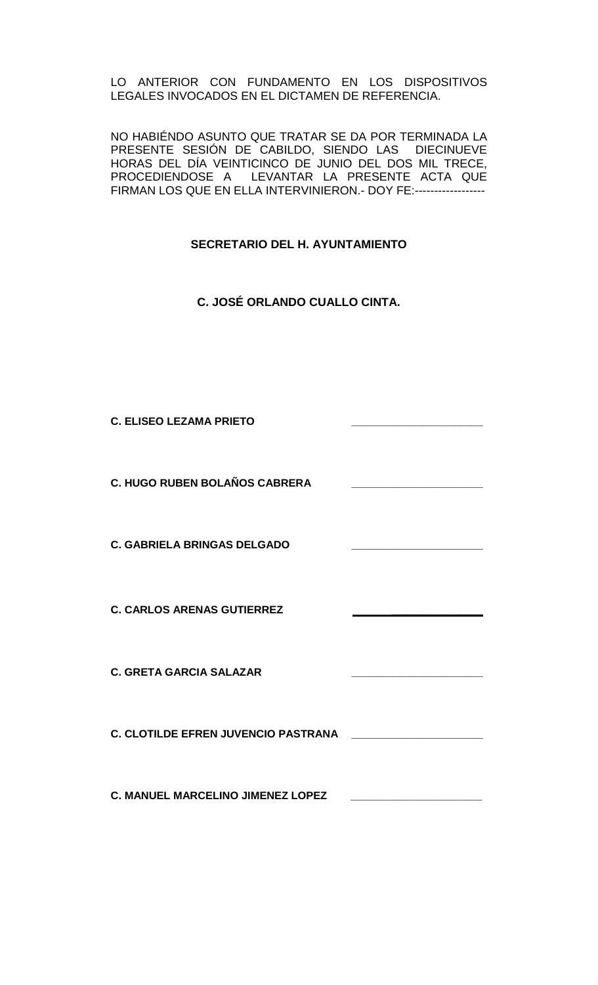LO ANTERIOR CON FUNDAMENTO EN LOS DISPOSITIVOS LEGALES INVOCADOS EN EL DICTAMEN DE REFERENCIA.

NO HABIÉNDO ASUNTO QUE TRATAR SE DA POR TERMINADA LA PRESENTE SESIÓN DE CABILDO, SIENDO LAS DIECINUEVE HORAS DEL DÍA VEINTICINCO DE JUNIO DEL DOS MIL TRECE, PROCEDIENDOSE A LEVANTAR LA PRESENTE ACTA QUE FIRMAN LOS QUE EN ELLA INTERVINIERON.- DOY FE:------------------

# **SECRETARIO DEL H. AYUNTAMIENTO**

**C. JOSÉ ORLANDO CUALLO CINTA.**

**C. ELISEO LEZAMA PRIETO \_\_\_\_\_\_\_\_\_\_\_\_\_\_\_\_\_\_\_\_\_\_**

**C. HUGO RUBEN BOLAÑOS CABRERA \_\_\_\_\_\_\_\_\_\_\_\_\_\_\_\_\_\_\_\_\_\_**

**C. GABRIELA BRINGAS DELGADO** 

**C. CARLOS ARENAS GUTIERREZ \_\_\_\_\_\_\_\_\_\_\_\_** 

**C. GRETA GARCIA SALAZAR \_\_\_\_\_\_\_\_\_\_\_\_\_\_\_\_\_\_\_\_\_\_**

**C. CLOTILDE EFREN JUVENCIO PASTRANA \_\_\_\_\_\_\_\_\_\_\_\_\_\_\_\_\_\_\_\_\_\_**

**C. MANUEL MARCELINO JIMENEZ LOPEZ \_\_\_\_\_\_\_\_\_\_\_\_\_\_\_\_\_\_\_\_\_\_**